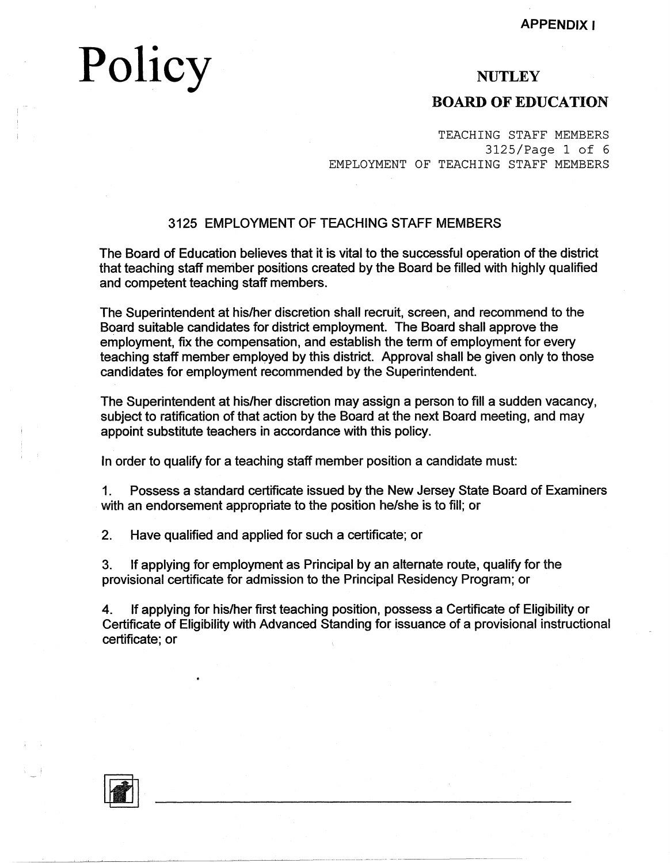**APPENDIX** I

# **Policy**

### **NUTLEY**

### **BOARD OF EDUCATION**

TEACHING STAFF MEMBERS 3125/Page 1 of 6 EMPLOYMENT OF TEACHING STAFF MEMBERS

### 3125 EMPLOYMENT OF TEACHING STAFF MEMBERS

The Board of Education believes that it is vital to the successful operation of the district that teaching staff member positions created by the Board be filled with highly qualified and competent teaching staff members.

The Superintendent at his/her discretion shall recruit, screen, and recommend to the Board suitable candidates for district employment. The Board shall approve the employment, fix the compensation, and establish the term of employment for every teaching staff member employed by this district. Approval shall be given only to those candidates for employment recommended by the Superintendent.

The Superintendent at his/her discretion may assign a person to fill a sudden vacancy, subject to ratification of that action by the Board at the next Board meeting, and may appoint substitute teachers in accordance with this policy.

In order to qualify for a teaching staff member position a candidate must:

1. Possess a standard certificate issued by the New Jersey State Board of Examiners with an endorsement appropriate to the position he/she is to fill; or

2. Have qualified and applied for such a certificate; or

3. If applying for employment as Principal by an alternate route, qualify for the provisional certificate for admission to the Principal Residency Program; or

4. If applying for his/her first teaching position, possess a Certificate of Eligibility or Certificate of Eligibility with Advanced Standing for issuance of a provisional instructional certificate; or

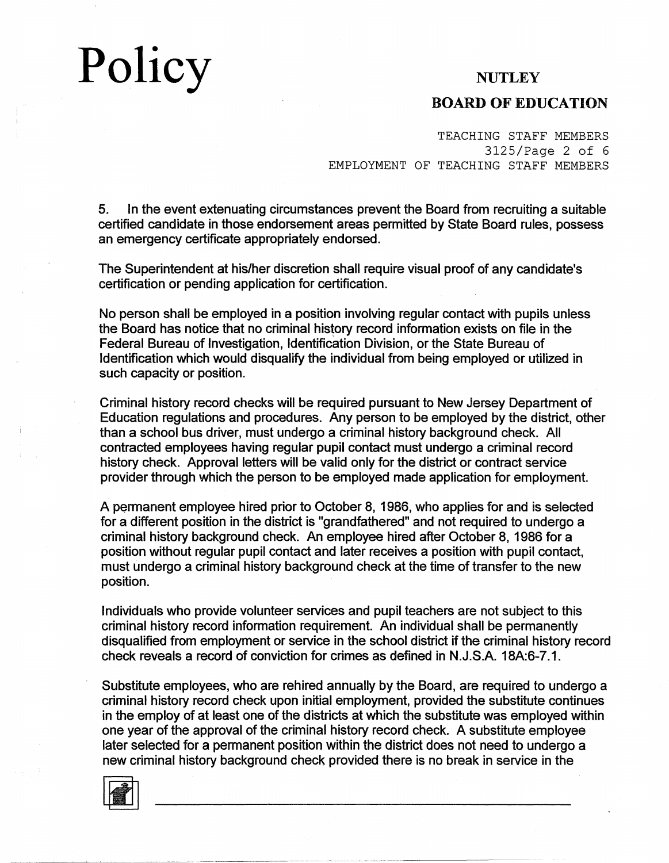### **BOARD OF EDUCATION**

TEACHING STAFF MEMBERS 3125/Page 2 of 6 EMPLOYMENT OF TEACHING STAFF MEMBERS

5. In the event extenuating circumstances prevent the Board from recruiting a suitable certified candidate in those endorsement areas permitted by State Board rules, possess an emergency certificate appropriately endorsed.

The Superintendent at his/her discretion shall require visual proof of any candidate's certification or pending application for certification.

No person shall be employed in a position involving regular contact with pupils unless the Board has notice that no criminal history record information exists on file in the Federal Bureau of Investigation, Identification Division, or the State Bureau of Identification which would disqualify the individual from being employed or utilized in such capacity or position.

Criminal history record checks will be required pursuant to New Jersey Department of Education regulations and procedures. Any person to be employed by the district, other than a school bus driver, must undergo a criminal history background check. All contracted employees having regular pupil contact must undergo a criminal record history check. Approval letters will be valid only for the district or contract service provider through which the person to be employed made application for employment.

A permanent employee hired prior to October 8, 1986, who applies for and is selected for a different position in the district is "grandfathered" and not required to undergo a criminal history background check. An employee hired after October 8, 1986 for a position without regular pupil contact and later receives a position with pupil contact, must undergo a criminal history background check at the time of transfer to the new position.

Individuals who provide volunteer services and pupil teachers are not subject to this criminal history record information requirement. An individual shall be permanently disqualified from employment or service in the school district if the criminal history record check reveals a record of conviction for crimes as defined in N.J.S.A. 18A:6-7.1.

Substitute employees, who are rehired annually by the Board, are required to undergo a criminal history record check upon initial employment, provided the substitute continues in the employ of at least one of the districts at which the substitute was employed within one year of the approval of the criminal history record check. A substitute employee later selected for a permanent position within the district does not need to undergo a new criminal history background check provided there is no break in service in the

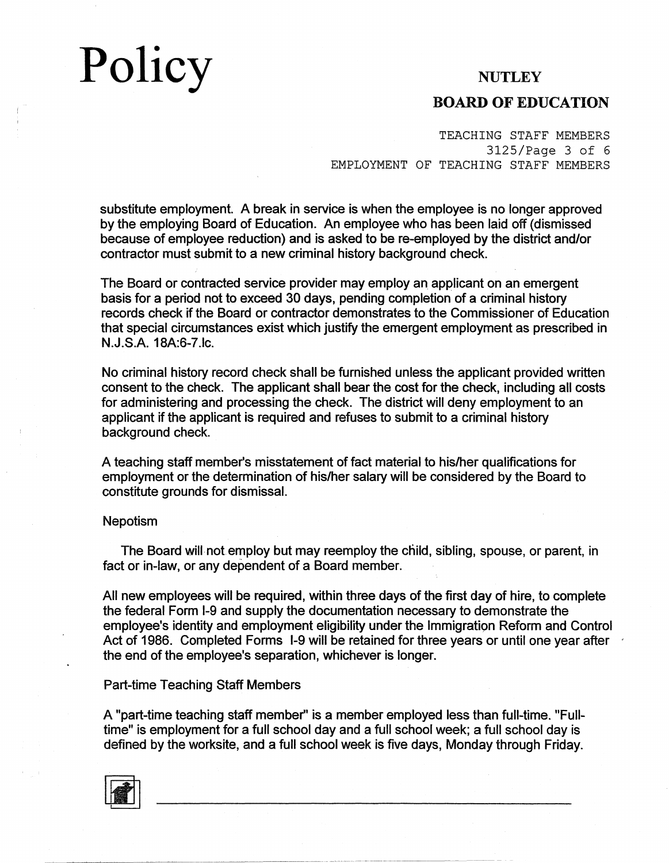### **BOARD OF EDUCATION**

TEACHING STAFF MEMBERS 3125/Page 3 of 6 EMPLOYMENT OF TEACHING STAFF MEMBERS

substitute employment. A break in service is when the employee is no longer approved by the employing Board of Education. An employee who has been laid off (dismissed because of employee reduction) and is asked to be re-employed by the district and/or contractor must submit to a new criminal history background check.

The Board or contracted service provider may employ an applicant on an emergent basis for a period not to exceed 30 days, pending completion of a criminal history records check if the Board or contractor demonstrates to the Commissioner of Education that special circumstances exist which justify the emergent employment as prescribed in N.J.S.A. 18A:6-7.lc.

No criminal history record check shall be furnished unless the applicant provided written consent to the check. The applicant shall bear the cost for the check, including all costs for administering and processing the check. The district will deny employment to an applicant if the applicant is required and refuses to submit to a criminal history background check.

A teaching staff member's misstatement of fact material to his/her qualifications for employment or the determination of his/her salary will be considered by the Board to constitute grounds for dismissal.

#### Nepotism

The Board will not employ but may reemploy the child, sibling, spouse, or parent, in fact or in-law, or any dependent of a Board member.

All new employees will be required, within three days of the first day of hire, to complete the federal Form 1-9 and supply the documentation necessary to demonstrate the employee's identity and employment eligibility under the Immigration Reform and Control Act of 1986. Completed Forms 1-9 will be retained for three years or until one year after the end of the employee's separation, whichever is longer.

#### Part-time Teaching Staff Members

A "part-time teaching staff member'' is a member employed less than full-time. "Fulltime" is employment for a full school day and a full school week; a full school day is defined by the worksite, and a full school week is five days, Monday through Friday.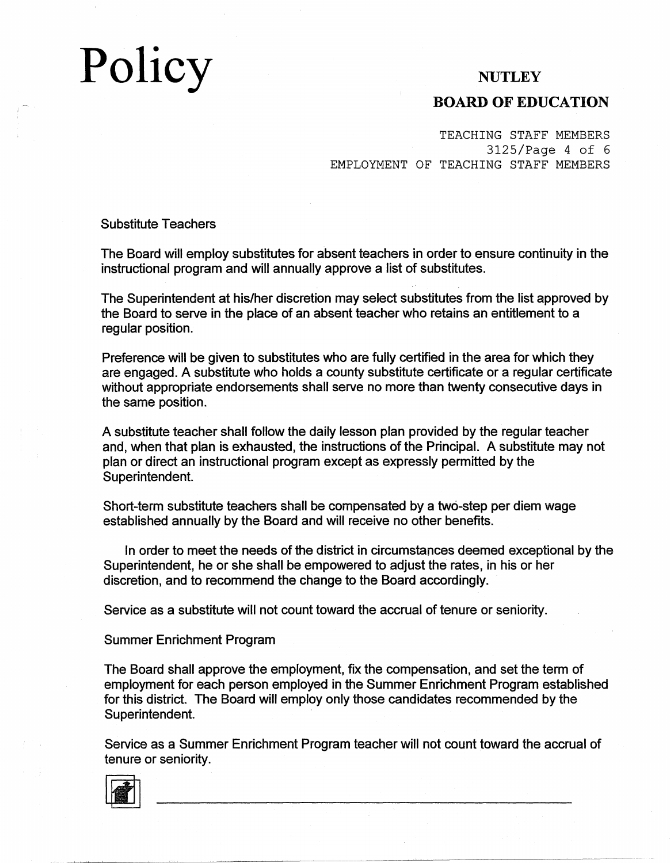# **Policy**

### **NUTLEY**

### **BOARD OF EDUCATION**

TEACHING STAFF MEMBERS 3125/Page 4 of 6 EMPLOYMENT OF TEACHING STAFF MEMBERS

Substitute Teachers

The Board will employ substitutes for absent teachers in order to ensure continuity in the instructional program and will annually approve a list of substitutes.

The Superintendent at his/her discretion may select substitutes from the list approved by the Board to serve in the place of an absent teacher who retains an entitlement to a regular position.

Preference will be given to substitutes who are fully certified in the area for which they are engaged. A substitute who holds a county substitute certificate or a regular certificate without appropriate endorsements shall serve no more than twenty consecutive days in the same position.

A substitute teacher shall follow the daily lesson plan provided by the regular teacher and, when that plan is exhausted, the instructions of the Principal. A substitute may not plan or direct an instructional program except as expressly permitted by the Superintendent.

Short-term substitute teachers shall be compensated by a two-step per diem wage established annually by the Board and will receive no other benefits.

In order to meet the needs of the district in circumstances deemed exceptional by the Superintendent, he or she shall be empowered to adjust the rates, in his or her discretion, and to recommend the change to the Board accordingly.

Service as a substitute will not count toward the accrual of tenure or seniority.

#### Summer Enrichment Program

The Board shall approve the employment, fix the compensation, and set the term of employment for each person employed in the Summer Enrichment Program established for this district. The Board will employ only those candidates recommended by the Superintendent.

Service as a Summer Enrichment Program teacher will not count toward the accrual of tenure or seniority.

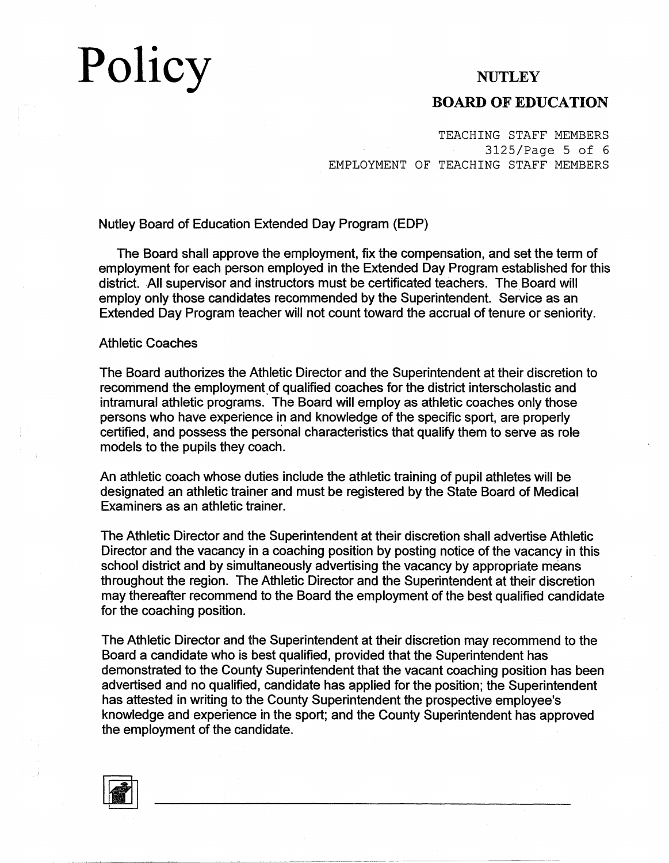### **BOARD OF EDUCATION**

TEACHING STAFF MEMBERS 3125/Page 5 of 6 EMPLOYMENT OF TEACHING STAFF MEMBERS

Nutley Board of Education Extended Day Program (EDP)

The Board shall approve the employment, fix the compensation, and set the term of employment for each person employed in the Extended Day-Program established for this district. All supervisor and instructors must be certificated teachers. The Board will employ only those candidates recommended by the Superintendent. Service as an Extended Day Program teacher will not count toward the accrual of tenure or seniority.

#### Athletic Coaches

The Board authorizes the Athletic Director and the Superintendent at their discretion to recommend the employment of qualified coaches for the district interscholastic and intramural athletic programs. The Board will employ as athletic coaches only those persons who have experience in and knowledge of the specific sport, are properly certified, and possess the personal characteristics that qualify them to serve as role models to the pupils they coach.

An athletic coach whose duties include the athletic training of pupil athletes will be designated an athletic trainer and must be registered by the State Board of Medical Examiners as an athletic trainer.

The Athletic Director and the Superintendent at their discretion shall advertise Athletic Director and the vacancy in a coaching position by posting notice of the vacancy in this school district and by simultaneously advertising the vacancy by appropriate means throughout the region. The Athletic Director and the Superintendent at their discretion may thereafter recommend to the Board the employment of the best qualified candidate for the coaching position.

The Athletic Director and the Superintendent at their discretion may recommend to the Board a candidate who is best qualified, provided that the Superintendent has demonstrated to the County Superintendent that the vacant coaching position has been advertised and no qualified, candidate has applied for the position; the Superintendent has attested in writing to the County Superintendent the prospective employee's knowledge and experience in the sport; and the County Superintendent has approved the employment of the candidate.